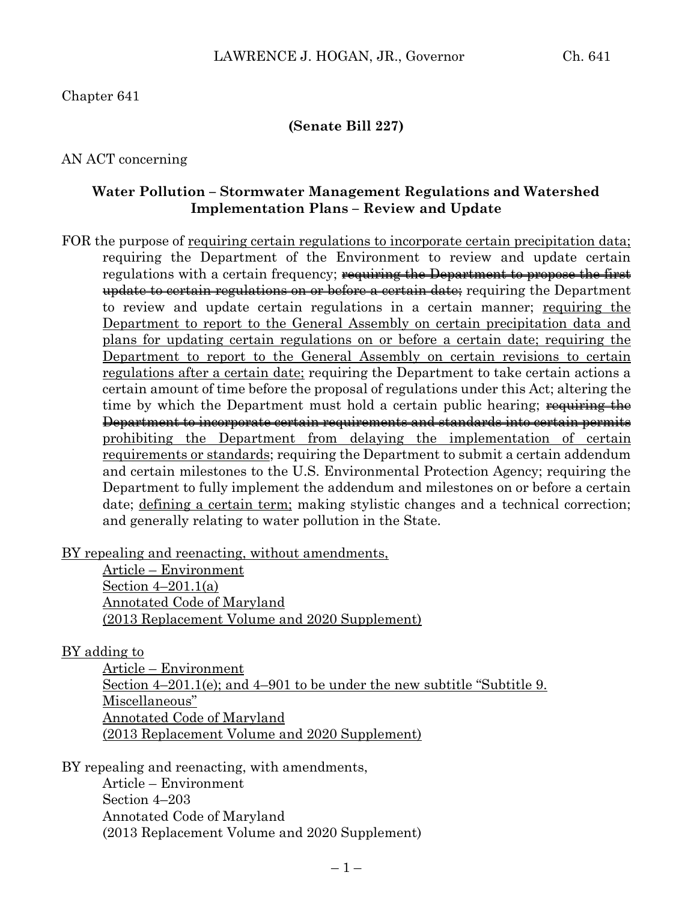#### **(Senate Bill 227)**

#### AN ACT concerning

#### **Water Pollution – Stormwater Management Regulations and Watershed Implementation Plans – Review and Update**

FOR the purpose of requiring certain regulations to incorporate certain precipitation data; requiring the Department of the Environment to review and update certain regulations with a certain frequency; requiring the Department to propose the first update to certain regulations on or before a certain date; requiring the Department to review and update certain regulations in a certain manner; requiring the Department to report to the General Assembly on certain precipitation data and plans for updating certain regulations on or before a certain date; requiring the Department to report to the General Assembly on certain revisions to certain regulations after a certain date; requiring the Department to take certain actions a certain amount of time before the proposal of regulations under this Act; altering the time by which the Department must hold a certain public hearing; requiring the Department to incorporate certain requirements and standards into certain permits prohibiting the Department from delaying the implementation of certain requirements or standards; requiring the Department to submit a certain addendum and certain milestones to the U.S. Environmental Protection Agency; requiring the Department to fully implement the addendum and milestones on or before a certain date; defining a certain term; making stylistic changes and a technical correction; and generally relating to water pollution in the State.

BY repealing and reenacting, without amendments,

Article – Environment Section 4–201.1(a) Annotated Code of Maryland (2013 Replacement Volume and 2020 Supplement)

#### BY adding to

Article – Environment Section 4–201.1(e); and 4–901 to be under the new subtitle "Subtitle 9. Miscellaneous" Annotated Code of Maryland (2013 Replacement Volume and 2020 Supplement)

BY repealing and reenacting, with amendments,

Article – Environment Section 4–203 Annotated Code of Maryland (2013 Replacement Volume and 2020 Supplement)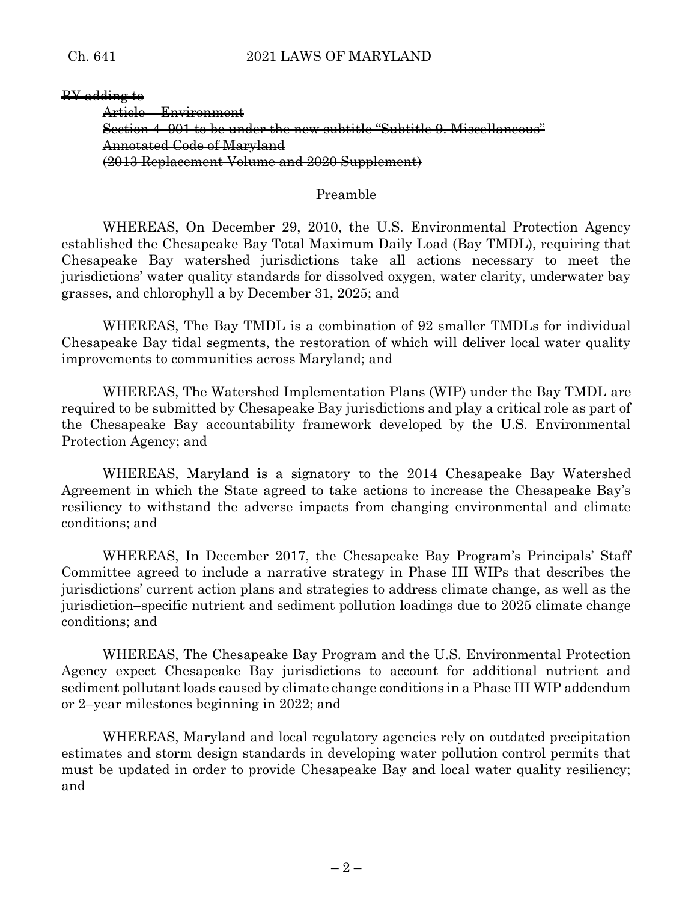BY adding to Article – Environment Section 4–901 to be under the new subtitle "Subtitle 9. Miscellaneous" Annotated Code of Maryland (2013 Replacement Volume and 2020 Supplement)

Preamble

WHEREAS, On December 29, 2010, the U.S. Environmental Protection Agency established the Chesapeake Bay Total Maximum Daily Load (Bay TMDL), requiring that Chesapeake Bay watershed jurisdictions take all actions necessary to meet the jurisdictions' water quality standards for dissolved oxygen, water clarity, underwater bay grasses, and chlorophyll a by December 31, 2025; and

WHEREAS, The Bay TMDL is a combination of 92 smaller TMDLs for individual Chesapeake Bay tidal segments, the restoration of which will deliver local water quality improvements to communities across Maryland; and

WHEREAS, The Watershed Implementation Plans (WIP) under the Bay TMDL are required to be submitted by Chesapeake Bay jurisdictions and play a critical role as part of the Chesapeake Bay accountability framework developed by the U.S. Environmental Protection Agency; and

WHEREAS, Maryland is a signatory to the 2014 Chesapeake Bay Watershed Agreement in which the State agreed to take actions to increase the Chesapeake Bay's resiliency to withstand the adverse impacts from changing environmental and climate conditions; and

WHEREAS, In December 2017, the Chesapeake Bay Program's Principals' Staff Committee agreed to include a narrative strategy in Phase III WIPs that describes the jurisdictions' current action plans and strategies to address climate change, as well as the jurisdiction–specific nutrient and sediment pollution loadings due to 2025 climate change conditions; and

WHEREAS, The Chesapeake Bay Program and the U.S. Environmental Protection Agency expect Chesapeake Bay jurisdictions to account for additional nutrient and sediment pollutant loads caused by climate change conditions in a Phase III WIP addendum or 2–year milestones beginning in 2022; and

WHEREAS, Maryland and local regulatory agencies rely on outdated precipitation estimates and storm design standards in developing water pollution control permits that must be updated in order to provide Chesapeake Bay and local water quality resiliency; and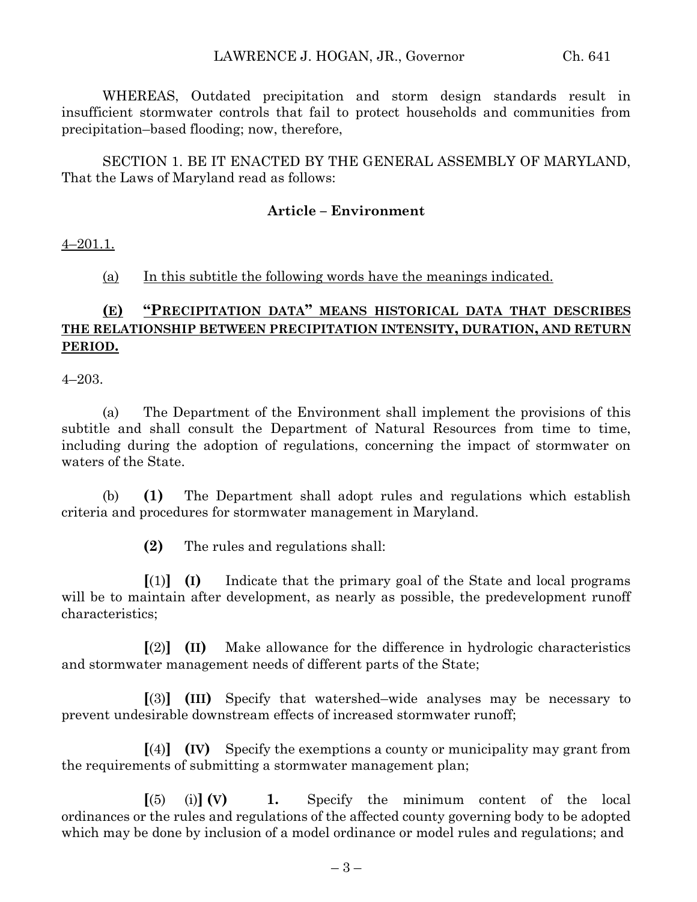WHEREAS, Outdated precipitation and storm design standards result in insufficient stormwater controls that fail to protect households and communities from precipitation–based flooding; now, therefore,

SECTION 1. BE IT ENACTED BY THE GENERAL ASSEMBLY OF MARYLAND, That the Laws of Maryland read as follows:

#### **Article – Environment**

4–201.1.

(a) In this subtitle the following words have the meanings indicated.

## **(E) "PRECIPITATION DATA" MEANS HISTORICAL DATA THAT DESCRIBES THE RELATIONSHIP BETWEEN PRECIPITATION INTENSITY, DURATION, AND RETURN PERIOD.**

4–203.

(a) The Department of the Environment shall implement the provisions of this subtitle and shall consult the Department of Natural Resources from time to time, including during the adoption of regulations, concerning the impact of stormwater on waters of the State.

(b) **(1)** The Department shall adopt rules and regulations which establish criteria and procedures for stormwater management in Maryland.

**(2)** The rules and regulations shall:

**[**(1)**] (I)** Indicate that the primary goal of the State and local programs will be to maintain after development, as nearly as possible, the predevelopment runoff characteristics;

**[**(2)**] (II)** Make allowance for the difference in hydrologic characteristics and stormwater management needs of different parts of the State;

**[**(3)**] (III)** Specify that watershed–wide analyses may be necessary to prevent undesirable downstream effects of increased stormwater runoff;

**[**(4)**] (IV)** Specify the exemptions a county or municipality may grant from the requirements of submitting a stormwater management plan;

**[**(5) (i)**] (V) 1.** Specify the minimum content of the local ordinances or the rules and regulations of the affected county governing body to be adopted which may be done by inclusion of a model ordinance or model rules and regulations; and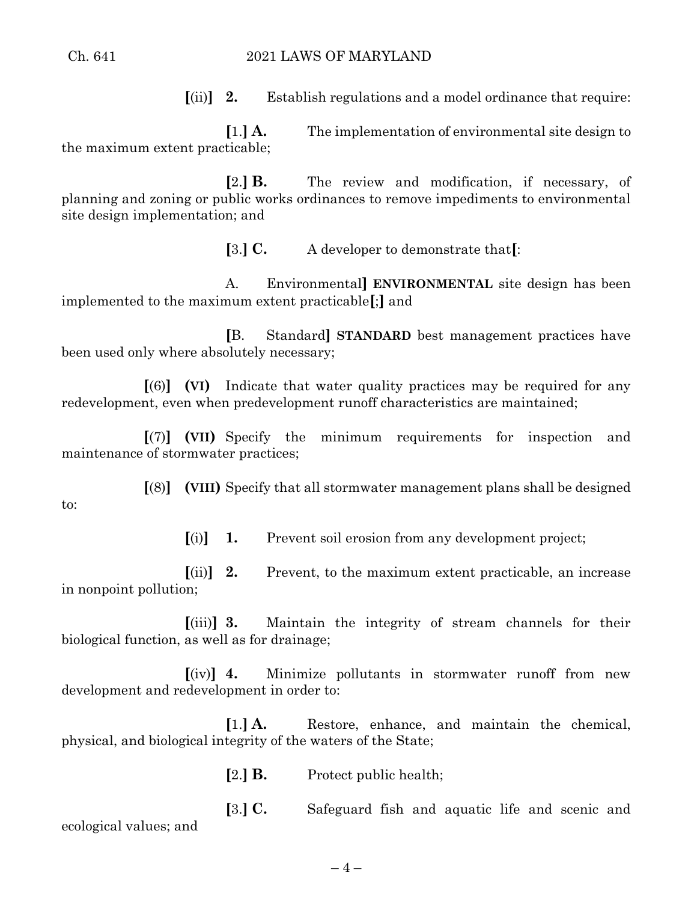#### Ch. 641 2021 LAWS OF MARYLAND

**[**(ii)**] 2.** Establish regulations and a model ordinance that require:

**[**1.**] A.** The implementation of environmental site design to the maximum extent practicable;

**[**2.**] B.** The review and modification, if necessary, of planning and zoning or public works ordinances to remove impediments to environmental site design implementation; and

**[**3.**] C.** A developer to demonstrate that**[**:

A. Environmental**] ENVIRONMENTAL** site design has been implemented to the maximum extent practicable**[**;**]** and

**[**B. Standard**] STANDARD** best management practices have been used only where absolutely necessary;

**[**(6)**] (VI)** Indicate that water quality practices may be required for any redevelopment, even when predevelopment runoff characteristics are maintained;

**[**(7)**] (VII)** Specify the minimum requirements for inspection and maintenance of stormwater practices;

**[**(8)**] (VIII)** Specify that all stormwater management plans shall be designed to:

**[**(i)**] 1.** Prevent soil erosion from any development project;

**[**(ii)**] 2.** Prevent, to the maximum extent practicable, an increase in nonpoint pollution;

**[**(iii)**] 3.** Maintain the integrity of stream channels for their biological function, as well as for drainage;

**[**(iv)**] 4.** Minimize pollutants in stormwater runoff from new development and redevelopment in order to:

**[**1.**] A.** Restore, enhance, and maintain the chemical, physical, and biological integrity of the waters of the State;

**[**2.**] B.** Protect public health;

**[**3.**] C.** Safeguard fish and aquatic life and scenic and ecological values; and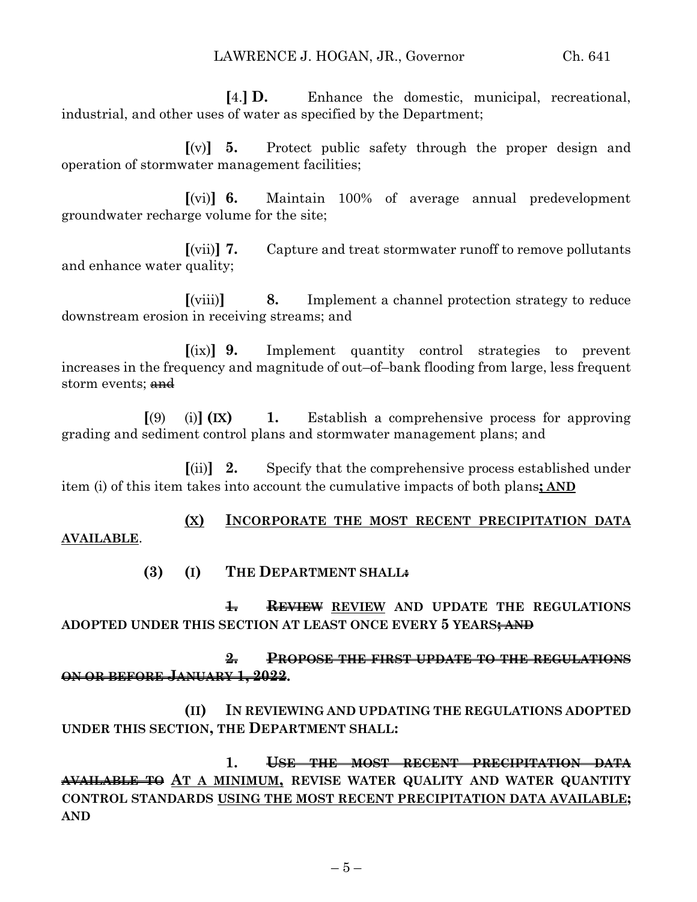**[**4.**] D.** Enhance the domestic, municipal, recreational, industrial, and other uses of water as specified by the Department;

**[**(v)**] 5.** Protect public safety through the proper design and operation of stormwater management facilities;

**[**(vi)**] 6.** Maintain 100% of average annual predevelopment groundwater recharge volume for the site;

**[**(vii)**] 7.** Capture and treat stormwater runoff to remove pollutants and enhance water quality;

**[**(viii)**] 8.** Implement a channel protection strategy to reduce downstream erosion in receiving streams; and

**[**(ix)**] 9.** Implement quantity control strategies to prevent increases in the frequency and magnitude of out–of–bank flooding from large, less frequent storm events; and

**[**(9) (i)**] (IX) 1.** Establish a comprehensive process for approving grading and sediment control plans and stormwater management plans; and

**[**(ii)**] 2.** Specify that the comprehensive process established under item (i) of this item takes into account the cumulative impacts of both plans**; AND**

**(X) INCORPORATE THE MOST RECENT PRECIPITATION DATA AVAILABLE**.

**(3) (I) THE DEPARTMENT SHALL:**

**1. REVIEW REVIEW AND UPDATE THE REGULATIONS ADOPTED UNDER THIS SECTION AT LEAST ONCE EVERY 5 YEARS; AND**

**2. PROPOSE THE FIRST UPDATE TO THE REGULATIONS ON OR BEFORE JANUARY 1, 2022.**

**(II) IN REVIEWING AND UPDATING THE REGULATIONS ADOPTED UNDER THIS SECTION, THE DEPARTMENT SHALL:**

**1. USE THE MOST RECENT PRECIPITATION DATA AVAILABLE TO AT A MINIMUM, REVISE WATER QUALITY AND WATER QUANTITY CONTROL STANDARDS USING THE MOST RECENT PRECIPITATION DATA AVAILABLE; AND**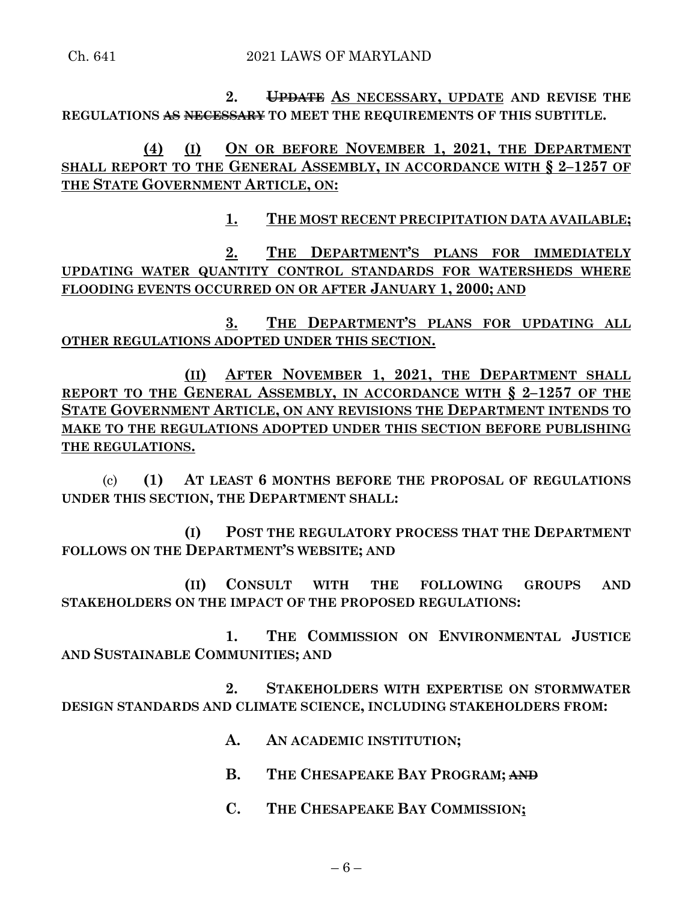Ch. 641 2021 LAWS OF MARYLAND

**2. UPDATE AS NECESSARY, UPDATE AND REVISE THE REGULATIONS AS NECESSARY TO MEET THE REQUIREMENTS OF THIS SUBTITLE.**

**(4) (I) ON OR BEFORE NOVEMBER 1, 2021, THE DEPARTMENT SHALL REPORT TO THE GENERAL ASSEMBLY, IN ACCORDANCE WITH § 2–1257 OF THE STATE GOVERNMENT ARTICLE, ON:**

**1. THE MOST RECENT PRECIPITATION DATA AVAILABLE;**

**2. THE DEPARTMENT'S PLANS FOR IMMEDIATELY UPDATING WATER QUANTITY CONTROL STANDARDS FOR WATERSHEDS WHERE FLOODING EVENTS OCCURRED ON OR AFTER JANUARY 1, 2000; AND** 

**3. THE DEPARTMENT'S PLANS FOR UPDATING ALL OTHER REGULATIONS ADOPTED UNDER THIS SECTION.**

**(II) AFTER NOVEMBER 1, 2021, THE DEPARTMENT SHALL REPORT TO THE GENERAL ASSEMBLY, IN ACCORDANCE WITH § 2–1257 OF THE STATE GOVERNMENT ARTICLE, ON ANY REVISIONS THE DEPARTMENT INTENDS TO MAKE TO THE REGULATIONS ADOPTED UNDER THIS SECTION BEFORE PUBLISHING THE REGULATIONS.**

(c) **(1) AT LEAST 6 MONTHS BEFORE THE PROPOSAL OF REGULATIONS UNDER THIS SECTION, THE DEPARTMENT SHALL:**

**(I) POST THE REGULATORY PROCESS THAT THE DEPARTMENT FOLLOWS ON THE DEPARTMENT'S WEBSITE; AND**

**(II) CONSULT WITH THE FOLLOWING GROUPS AND STAKEHOLDERS ON THE IMPACT OF THE PROPOSED REGULATIONS:**

**1. THE COMMISSION ON ENVIRONMENTAL JUSTICE AND SUSTAINABLE COMMUNITIES; AND**

**2. STAKEHOLDERS WITH EXPERTISE ON STORMWATER DESIGN STANDARDS AND CLIMATE SCIENCE, INCLUDING STAKEHOLDERS FROM:**

- **A. AN ACADEMIC INSTITUTION;**
- **B. THE CHESAPEAKE BAY PROGRAM; AND**
- **C. THE CHESAPEAKE BAY COMMISSION;**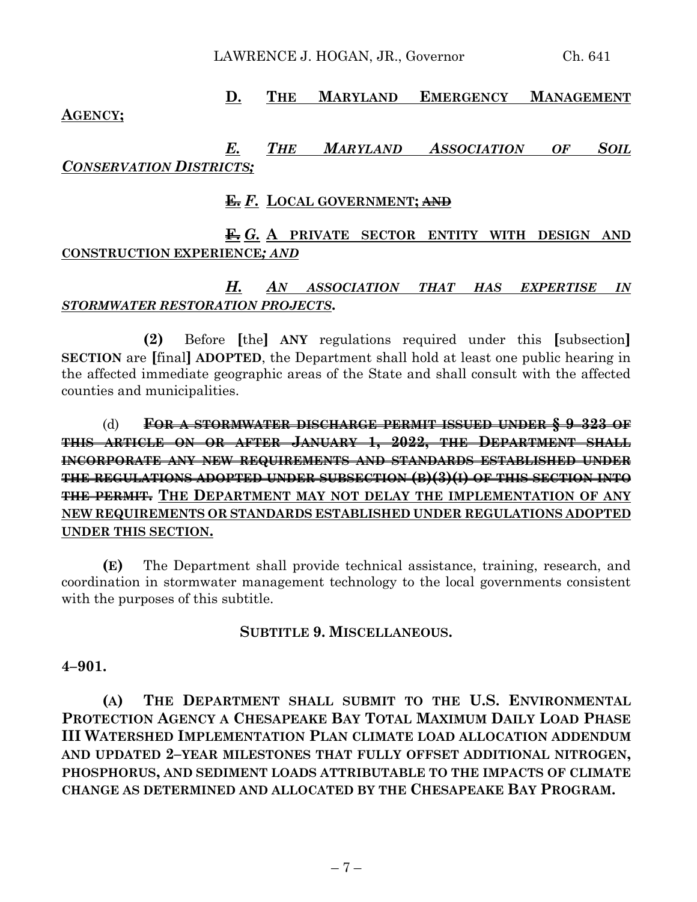LAWRENCE J. HOGAN, JR., Governor Ch. 641

# **D. THE MARYLAND EMERGENCY MANAGEMENT**

### **AGENCY;**

## *E. THE MARYLAND ASSOCIATION OF SOIL CONSERVATION DISTRICTS;*

### **E.** *F.* **LOCAL GOVERNMENT; AND**

## **F.** *G.* **A PRIVATE SECTOR ENTITY WITH DESIGN AND CONSTRUCTION EXPERIENCE***; AND*

## *H. AN ASSOCIATION THAT HAS EXPERTISE IN STORMWATER RESTORATION PROJECTS***.**

**(2)** Before **[**the**] ANY** regulations required under this **[**subsection**] SECTION** are **[**final**] ADOPTED**, the Department shall hold at least one public hearing in the affected immediate geographic areas of the State and shall consult with the affected counties and municipalities.

## (d) **FOR A STORMWATER DISCHARGE PERMIT ISSUED UNDER § 9–323 OF THIS ARTICLE ON OR AFTER JANUARY 1, 2022, THE DEPARTMENT SHALL INCORPORATE ANY NEW REQUIREMENTS AND STANDARDS ESTABLISHED UNDER THE REGULATIONS ADOPTED UNDER SUBSECTION (B)(3)(I) OF THIS SECTION INTO THE PERMIT. THE DEPARTMENT MAY NOT DELAY THE IMPLEMENTATION OF ANY NEW REQUIREMENTS OR STANDARDS ESTABLISHED UNDER REGULATIONS ADOPTED UNDER THIS SECTION.**

**(E)** The Department shall provide technical assistance, training, research, and coordination in stormwater management technology to the local governments consistent with the purposes of this subtitle.

## **SUBTITLE 9. MISCELLANEOUS.**

#### **4–901.**

**(A) THE DEPARTMENT SHALL SUBMIT TO THE U.S. ENVIRONMENTAL PROTECTION AGENCY A CHESAPEAKE BAY TOTAL MAXIMUM DAILY LOAD PHASE III WATERSHED IMPLEMENTATION PLAN CLIMATE LOAD ALLOCATION ADDENDUM AND UPDATED 2–YEAR MILESTONES THAT FULLY OFFSET ADDITIONAL NITROGEN, PHOSPHORUS, AND SEDIMENT LOADS ATTRIBUTABLE TO THE IMPACTS OF CLIMATE CHANGE AS DETERMINED AND ALLOCATED BY THE CHESAPEAKE BAY PROGRAM.**